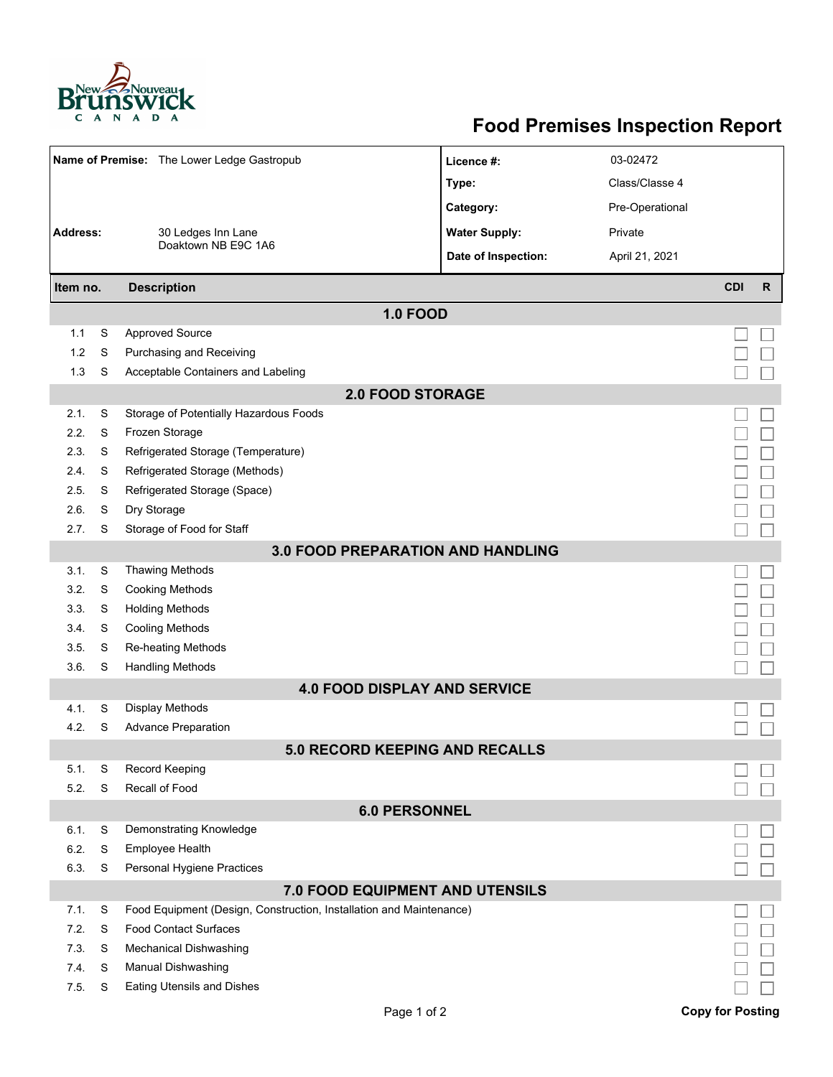

## **Food Premises Inspection Report**

| Name of Premise: The Lower Ledge Gastropub |        |                                                                     | Licence #:           | 03-02472        |                         |              |  |  |  |
|--------------------------------------------|--------|---------------------------------------------------------------------|----------------------|-----------------|-------------------------|--------------|--|--|--|
|                                            |        |                                                                     | Type:                | Class/Classe 4  |                         |              |  |  |  |
|                                            |        |                                                                     | Category:            | Pre-Operational |                         |              |  |  |  |
| <b>Address:</b><br>30 Ledges Inn Lane      |        |                                                                     | <b>Water Supply:</b> | Private         |                         |              |  |  |  |
|                                            |        | Doaktown NB E9C 1A6                                                 | Date of Inspection:  | April 21, 2021  |                         |              |  |  |  |
|                                            |        |                                                                     |                      |                 |                         |              |  |  |  |
| Item no.                                   |        | <b>Description</b>                                                  |                      |                 | <b>CDI</b>              | $\mathsf{R}$ |  |  |  |
|                                            |        | <b>1.0 FOOD</b>                                                     |                      |                 |                         |              |  |  |  |
| 1.1                                        | S      | <b>Approved Source</b>                                              |                      |                 |                         |              |  |  |  |
| 1.2                                        | S      | Purchasing and Receiving                                            |                      |                 |                         |              |  |  |  |
| 1.3                                        | S      | Acceptable Containers and Labeling                                  |                      |                 |                         |              |  |  |  |
| <b>2.0 FOOD STORAGE</b>                    |        |                                                                     |                      |                 |                         |              |  |  |  |
| 2.1.                                       | S      | Storage of Potentially Hazardous Foods                              |                      |                 |                         |              |  |  |  |
| 2.2.                                       | S      | Frozen Storage                                                      |                      |                 |                         |              |  |  |  |
| 2.3.                                       | S      | Refrigerated Storage (Temperature)                                  |                      |                 |                         |              |  |  |  |
| 2.4.                                       | S      | Refrigerated Storage (Methods)                                      |                      |                 |                         |              |  |  |  |
| 2.5.                                       | S      | Refrigerated Storage (Space)                                        |                      |                 |                         |              |  |  |  |
| 2.6.                                       | S      | Dry Storage                                                         |                      |                 |                         |              |  |  |  |
| 2.7.                                       | S      | Storage of Food for Staff                                           |                      |                 |                         |              |  |  |  |
| <b>3.0 FOOD PREPARATION AND HANDLING</b>   |        |                                                                     |                      |                 |                         |              |  |  |  |
| 3.1.                                       | S      | <b>Thawing Methods</b>                                              |                      |                 |                         |              |  |  |  |
| 3.2.                                       | S      | <b>Cooking Methods</b>                                              |                      |                 |                         |              |  |  |  |
| 3.3.                                       | S      | <b>Holding Methods</b>                                              |                      |                 |                         |              |  |  |  |
| 3.4.                                       | S      | <b>Cooling Methods</b>                                              |                      |                 |                         |              |  |  |  |
| 3.5.<br>3.6.                               | S<br>S | Re-heating Methods<br><b>Handling Methods</b>                       |                      |                 |                         |              |  |  |  |
|                                            |        | <b>4.0 FOOD DISPLAY AND SERVICE</b>                                 |                      |                 |                         |              |  |  |  |
| 4.1.                                       | S      | Display Methods                                                     |                      |                 |                         |              |  |  |  |
| 4.2.                                       | S      | <b>Advance Preparation</b>                                          |                      |                 |                         |              |  |  |  |
| <b>5.0 RECORD KEEPING AND RECALLS</b>      |        |                                                                     |                      |                 |                         |              |  |  |  |
| 5.1.                                       | S      | Record Keeping                                                      |                      |                 |                         |              |  |  |  |
| 5.2.                                       | S      | Recall of Food                                                      |                      |                 |                         |              |  |  |  |
| <b>6.0 PERSONNEL</b>                       |        |                                                                     |                      |                 |                         |              |  |  |  |
| 6.1.                                       | S      | Demonstrating Knowledge                                             |                      |                 |                         |              |  |  |  |
| 6.2.                                       | S      | Employee Health                                                     |                      |                 |                         |              |  |  |  |
| 6.3.                                       | S      | Personal Hygiene Practices                                          |                      |                 |                         |              |  |  |  |
|                                            |        | 7.0 FOOD EQUIPMENT AND UTENSILS                                     |                      |                 |                         |              |  |  |  |
| 7.1.                                       | S      | Food Equipment (Design, Construction, Installation and Maintenance) |                      |                 |                         |              |  |  |  |
| 7.2.                                       | S      | <b>Food Contact Surfaces</b>                                        |                      |                 |                         |              |  |  |  |
| 7.3.                                       | S      | <b>Mechanical Dishwashing</b>                                       |                      |                 |                         |              |  |  |  |
| 74.                                        | S      | Manual Dishwashing                                                  |                      |                 |                         |              |  |  |  |
| 7.5.                                       | S      | Eating Utensils and Dishes                                          |                      |                 |                         |              |  |  |  |
|                                            |        | Page 1 of 2                                                         |                      |                 | <b>Copy for Posting</b> |              |  |  |  |